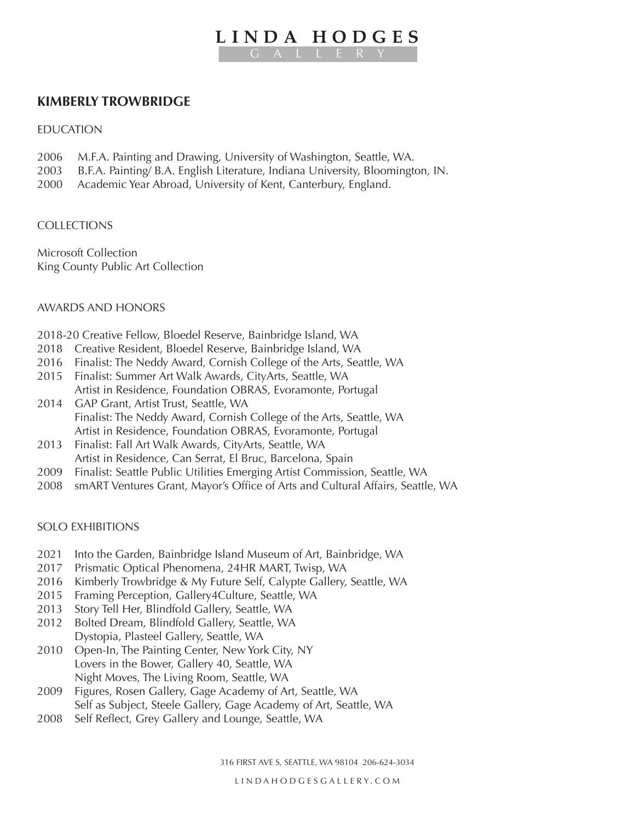# **LINDA HODGES** GALLERY

# **KIMBERLY TROWBRIDGE**

#### EDUCATION

- 2006 M.F.A. Painting and Drawing, University of Washington, Seattle, WA.
- 2003 B.F.A. Painting/ B.A. English Literature, Indiana University, Bloomington, IN.
- 2000 Academic Year Abroad, University of Kent, Canterbury, England.

### **COLLECTIONS**

Microsoft Collection King County Public Art Collection

### AWARDS AND HONORS

2018-20 Creative Fellow, Bloedel Reserve, Bainbridge Island, WA

- 2018 Creative Resident, Bloedel Reserve, Bainbridge Island, WA
- 2016 Finalist: The Neddy Award, Cornish College of the Arts, Seattle, WA
- 2015 Finalist: Summer Art Walk Awards, CityArts, Seattle, WA Artist in Residence, Foundation OBRAS, Evoramonte, Portugal
- 2014 GAP Grant, Artist Trust, Seattle, WA Finalist: The Neddy Award, Cornish College of the Arts, Seattle, WA Artist in Residence, Foundation OBRAS, Evoramonte, Portugal
- 2013 Finalist: Fall Art Walk Awards, CityArts, Seattle, WA Artist in Residence, Can Serrat, El Bruc, Barcelona, Spain
- 2009 Finalist: Seattle Public Utilities Emerging Artist Commission, Seattle, WA
- 2008 smART Ventures Grant, Mayor's Office of Arts and Cultural Affairs, Seattle, WA

### SOLO EXHIBITIONS

- 2021 Into the Garden, Bainbridge Island Museum of Art, Bainbridge, WA
- 2017 Prismatic Optical Phenomena, 24HR MART, Twisp, WA
- 2016 Kimberly Trowbridge & My Future Self, Calypte Gallery, Seattle, WA
- 2015 Framing Perception, Gallery4Culture, Seattle, WA
- 2013 Story Tell Her, Blindfold Gallery, Seattle, WA
- 2012 Bolted Dream, Blindfold Gallery, Seattle, WA Dystopia, Plasteel Gallery, Seattle, WA
- 2010 Open-In, The Painting Center, New York City, NY Lovers in the Bower, Gallery 40, Seattle, WA Night Moves, The Living Room, Seattle, WA
- 2009 Figures, Rosen Gallery, Gage Academy of Art, Seattle, WA Self as Subject, Steele Gallery, Gage Academy of Art, Seattle, WA
- 2008 Self Reflect, Grey Gallery and Lounge, Seattle, WA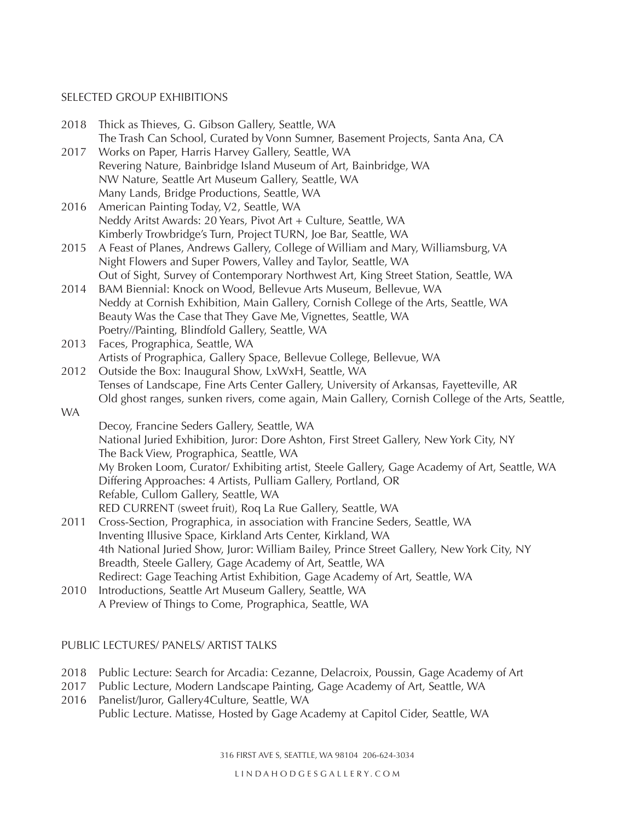### SELECTED GROUP EXHIBITIONS

| 2018      | Thick as Thieves, G. Gibson Gallery, Seattle, WA<br>The Trash Can School, Curated by Vonn Sumner, Basement Projects, Santa Ana, CA                             |
|-----------|----------------------------------------------------------------------------------------------------------------------------------------------------------------|
| 2017      | Works on Paper, Harris Harvey Gallery, Seattle, WA                                                                                                             |
|           | Revering Nature, Bainbridge Island Museum of Art, Bainbridge, WA                                                                                               |
|           | NW Nature, Seattle Art Museum Gallery, Seattle, WA                                                                                                             |
|           | Many Lands, Bridge Productions, Seattle, WA                                                                                                                    |
| 2016      | American Painting Today, V2, Seattle, WA                                                                                                                       |
|           | Neddy Aritst Awards: 20 Years, Pivot Art + Culture, Seattle, WA                                                                                                |
|           | Kimberly Trowbridge's Turn, Project TURN, Joe Bar, Seattle, WA                                                                                                 |
| 2015      | A Feast of Planes, Andrews Gallery, College of William and Mary, Williamsburg, VA                                                                              |
|           | Night Flowers and Super Powers, Valley and Taylor, Seattle, WA                                                                                                 |
|           | Out of Sight, Survey of Contemporary Northwest Art, King Street Station, Seattle, WA                                                                           |
| 2014      | BAM Biennial: Knock on Wood, Bellevue Arts Museum, Bellevue, WA                                                                                                |
|           | Neddy at Cornish Exhibition, Main Gallery, Cornish College of the Arts, Seattle, WA                                                                            |
|           | Beauty Was the Case that They Gave Me, Vignettes, Seattle, WA                                                                                                  |
|           | Poetry//Painting, Blindfold Gallery, Seattle, WA                                                                                                               |
| 2013      | Faces, Prographica, Seattle, WA                                                                                                                                |
|           | Artists of Prographica, Gallery Space, Bellevue College, Bellevue, WA                                                                                          |
| 2012      | Outside the Box: Inaugural Show, LxWxH, Seattle, WA                                                                                                            |
|           | Tenses of Landscape, Fine Arts Center Gallery, University of Arkansas, Fayetteville, AR                                                                        |
|           | Old ghost ranges, sunken rivers, come again, Main Gallery, Cornish College of the Arts, Seattle,                                                               |
| <b>WA</b> |                                                                                                                                                                |
|           | Decoy, Francine Seders Gallery, Seattle, WA                                                                                                                    |
|           | National Juried Exhibition, Juror: Dore Ashton, First Street Gallery, New York City, NY                                                                        |
|           | The Back View, Prographica, Seattle, WA                                                                                                                        |
|           | My Broken Loom, Curator/ Exhibiting artist, Steele Gallery, Gage Academy of Art, Seattle, WA<br>Differing Approaches: 4 Artists, Pulliam Gallery, Portland, OR |
|           | Refable, Cullom Gallery, Seattle, WA                                                                                                                           |
|           | RED CURRENT (sweet fruit), Roq La Rue Gallery, Seattle, WA                                                                                                     |
| 2011      | Cross-Section, Prographica, in association with Francine Seders, Seattle, WA                                                                                   |
|           | Inventing Illusive Space, Kirkland Arts Center, Kirkland, WA                                                                                                   |
|           | 4th National Juried Show, Juror: William Bailey, Prince Street Gallery, New York City, NY                                                                      |
|           | Breadth, Steele Gallery, Gage Academy of Art, Seattle, WA                                                                                                      |
|           | Redirect: Gage Teaching Artist Exhibition, Gage Academy of Art, Seattle, WA                                                                                    |
| 2010      | Introductions, Seattle Art Museum Gallery, Seattle, WA                                                                                                         |
|           | A Preview of Things to Come, Prographica, Seattle, WA                                                                                                          |
|           |                                                                                                                                                                |

## PUBLIC LECTURES/ PANELS/ ARTIST TALKS

- 2018 Public Lecture: Search for Arcadia: Cezanne, Delacroix, Poussin, Gage Academy of Art
- 2017 Public Lecture, Modern Landscape Painting, Gage Academy of Art, Seattle, WA
- 2016 Panelist/Juror, Gallery4Culture, Seattle, WA Public Lecture. Matisse, Hosted by Gage Academy at Capitol Cider, Seattle, WA

316 FIRST AVE S, SEATTLE, WA 98104 206-624-3034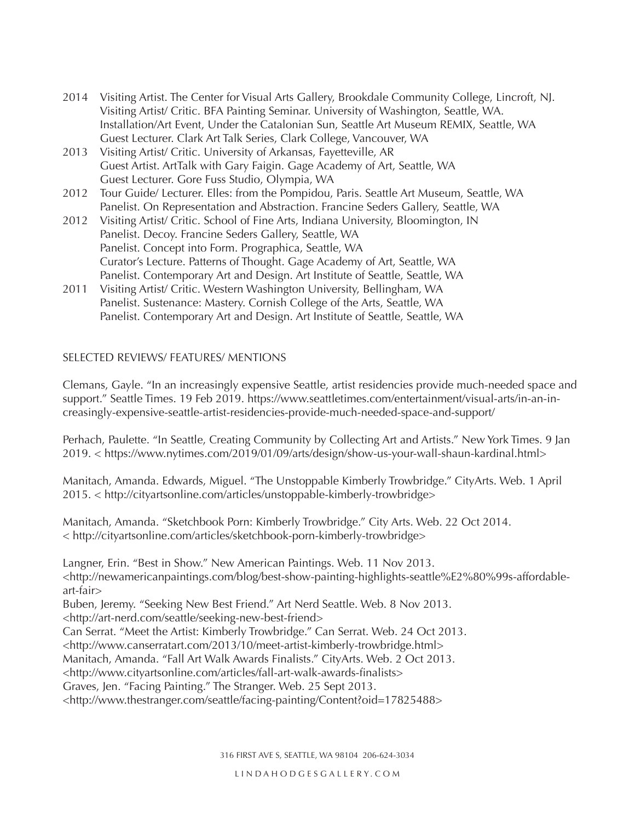- 2014 Visiting Artist. The Center for Visual Arts Gallery, Brookdale Community College, Lincroft, NJ. Visiting Artist/ Critic. BFA Painting Seminar. University of Washington, Seattle, WA. Installation/Art Event, Under the Catalonian Sun, Seattle Art Museum REMIX, Seattle, WA Guest Lecturer. Clark Art Talk Series, Clark College, Vancouver, WA
- 2013 Visiting Artist/ Critic. University of Arkansas, Fayetteville, AR Guest Artist. ArtTalk with Gary Faigin. Gage Academy of Art, Seattle, WA Guest Lecturer. Gore Fuss Studio, Olympia, WA
- 2012 Tour Guide/ Lecturer. Elles: from the Pompidou, Paris. Seattle Art Museum, Seattle, WA Panelist. On Representation and Abstraction. Francine Seders Gallery, Seattle, WA
- 2012 Visiting Artist/ Critic. School of Fine Arts, Indiana University, Bloomington, IN Panelist. Decoy. Francine Seders Gallery, Seattle, WA Panelist. Concept into Form. Prographica, Seattle, WA Curator's Lecture. Patterns of Thought. Gage Academy of Art, Seattle, WA Panelist. Contemporary Art and Design. Art Institute of Seattle, Seattle, WA
- 2011 Visiting Artist/ Critic. Western Washington University, Bellingham, WA Panelist. Sustenance: Mastery. Cornish College of the Arts, Seattle, WA Panelist. Contemporary Art and Design. Art Institute of Seattle, Seattle, WA

## SELECTED REVIEWS/ FEATURES/ MENTIONS

Clemans, Gayle. "In an increasingly expensive Seattle, artist residencies provide much-needed space and support." Seattle Times. 19 Feb 2019. https://www.seattletimes.com/entertainment/visual-arts/in-an-increasingly-expensive-seattle-artist-residencies-provide-much-needed-space-and-support/

Perhach, Paulette. "In Seattle, Creating Community by Collecting Art and Artists." New York Times. 9 Jan 2019. < https://www.nytimes.com/2019/01/09/arts/design/show-us-your-wall-shaun-kardinal.html>

Manitach, Amanda. Edwards, Miguel. "The Unstoppable Kimberly Trowbridge." CityArts. Web. 1 April 2015. < http://cityartsonline.com/articles/unstoppable-kimberly-trowbridge>

Manitach, Amanda. "Sketchbook Porn: Kimberly Trowbridge." City Arts. Web. 22 Oct 2014. < http://cityartsonline.com/articles/sketchbook-porn-kimberly-trowbridge>

Langner, Erin. "Best in Show." New American Paintings. Web. 11 Nov 2013.

<http://newamericanpaintings.com/blog/best-show-painting-highlights-seattle%E2%80%99s-affordableart-fair>

Buben, Jeremy. "Seeking New Best Friend." Art Nerd Seattle. Web. 8 Nov 2013.

<http://art-nerd.com/seattle/seeking-new-best-friend>

Can Serrat. "Meet the Artist: Kimberly Trowbridge." Can Serrat. Web. 24 Oct 2013.

<http://www.canserratart.com/2013/10/meet-artist-kimberly-trowbridge.html>

Manitach, Amanda. "Fall Art Walk Awards Finalists." CityArts. Web. 2 Oct 2013.

<http://www.cityartsonline.com/articles/fall-art-walk-awards-finalists>

Graves, Jen. "Facing Painting." The Stranger. Web. 25 Sept 2013.

<http://www.thestranger.com/seattle/facing-painting/Content?oid=17825488>

316 FIRST AVE S, SEATTLE, WA 98104 206-624-3034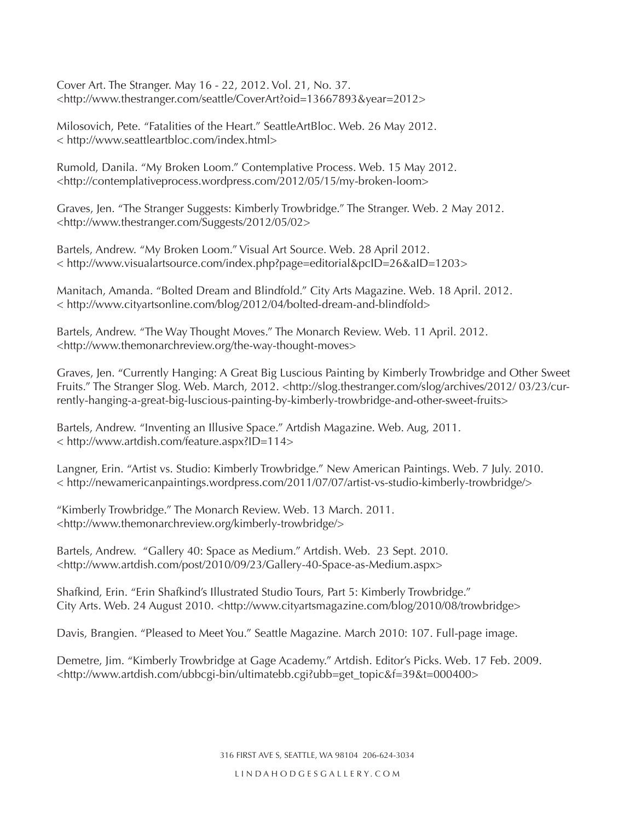Cover Art. The Stranger. May 16 - 22, 2012. Vol. 21, No. 37. <http://www.thestranger.com/seattle/CoverArt?oid=13667893&year=2012>

Milosovich, Pete. "Fatalities of the Heart." SeattleArtBloc. Web. 26 May 2012. < http://www.seattleartbloc.com/index.html>

Rumold, Danila. "My Broken Loom." Contemplative Process. Web. 15 May 2012. <http://contemplativeprocess.wordpress.com/2012/05/15/my-broken-loom>

Graves, Jen. "The Stranger Suggests: Kimberly Trowbridge." The Stranger. Web. 2 May 2012. <http://www.thestranger.com/Suggests/2012/05/02>

Bartels, Andrew. "My Broken Loom." Visual Art Source. Web. 28 April 2012. < http://www.visualartsource.com/index.php?page=editorial&pcID=26&aID=1203>

Manitach, Amanda. "Bolted Dream and Blindfold." City Arts Magazine. Web. 18 April. 2012. < http://www.cityartsonline.com/blog/2012/04/bolted-dream-and-blindfold>

Bartels, Andrew. "The Way Thought Moves." The Monarch Review. Web. 11 April. 2012. <http://www.themonarchreview.org/the-way-thought-moves>

Graves, Jen. "Currently Hanging: A Great Big Luscious Painting by Kimberly Trowbridge and Other Sweet Fruits." The Stranger Slog. Web. March, 2012. <http://slog.thestranger.com/slog/archives/2012/ 03/23/currently-hanging-a-great-big-luscious-painting-by-kimberly-trowbridge-and-other-sweet-fruits>

Bartels, Andrew. "Inventing an Illusive Space." Artdish Magazine. Web. Aug, 2011. < http://www.artdish.com/feature.aspx?ID=114>

Langner, Erin. "Artist vs. Studio: Kimberly Trowbridge." New American Paintings. Web. 7 July. 2010. < http://newamericanpaintings.wordpress.com/2011/07/07/artist-vs-studio-kimberly-trowbridge/>

"Kimberly Trowbridge." The Monarch Review. Web. 13 March. 2011. <http://www.themonarchreview.org/kimberly-trowbridge/>

Bartels, Andrew. "Gallery 40: Space as Medium." Artdish. Web. 23 Sept. 2010. <http://www.artdish.com/post/2010/09/23/Gallery-40-Space-as-Medium.aspx>

Shafkind, Erin. "Erin Shafkind's Illustrated Studio Tours, Part 5: Kimberly Trowbridge." City Arts. Web. 24 August 2010. <http://www.cityartsmagazine.com/blog/2010/08/trowbridge>

Davis, Brangien. "Pleased to Meet You." Seattle Magazine. March 2010: 107. Full-page image.

Demetre, Jim. "Kimberly Trowbridge at Gage Academy." Artdish. Editor's Picks. Web. 17 Feb. 2009. <http://www.artdish.com/ubbcgi-bin/ultimatebb.cgi?ubb=get\_topic&f=39&t=000400>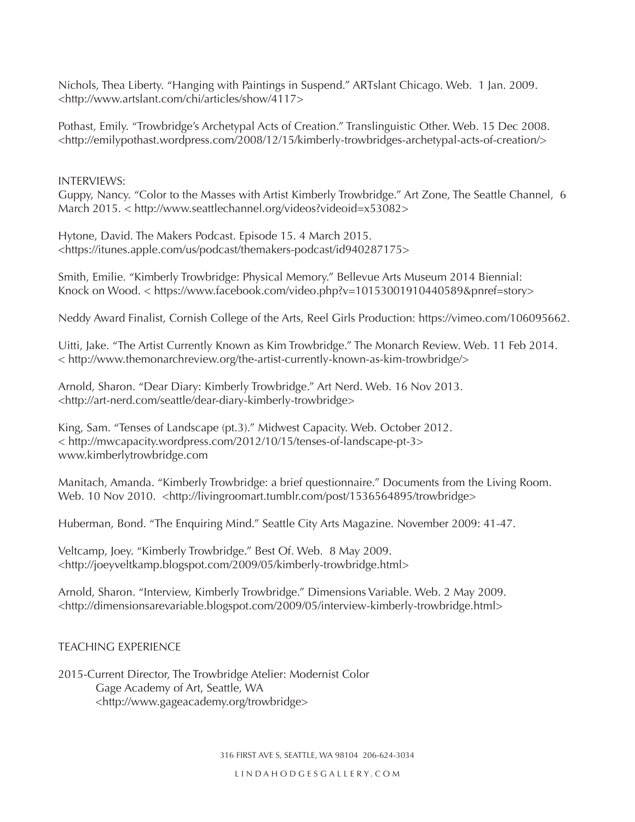Nichols, Thea Liberty. "Hanging with Paintings in Suspend." ARTslant Chicago. Web. 1 Jan. 2009. <http://www.artslant.com/chi/articles/show/4117>

Pothast, Emily. "Trowbridge's Archetypal Acts of Creation." Translinguistic Other. Web. 15 Dec 2008. <http://emilypothast.wordpress.com/2008/12/15/kimberly-trowbridges-archetypal-acts-of-creation/>

INTERVIEWS:

Guppy, Nancy. "Color to the Masses with Artist Kimberly Trowbridge." Art Zone, The Seattle Channel, 6 March 2015. < http://www.seattlechannel.org/videos?videoid=x53082>

Hytone, David. The Makers Podcast. Episode 15. 4 March 2015. <https://itunes.apple.com/us/podcast/themakers-podcast/id940287175>

Smith, Emilie. "Kimberly Trowbridge: Physical Memory." Bellevue Arts Museum 2014 Biennial: Knock on Wood. < https://www.facebook.com/video.php?v=10153001910440589&pnref=story>

Neddy Award Finalist, Cornish College of the Arts, Reel Girls Production: https://vimeo.com/106095662.

Uitti, Jake. "The Artist Currently Known as Kim Trowbridge." The Monarch Review. Web. 11 Feb 2014. < http://www.themonarchreview.org/the-artist-currently-known-as-kim-trowbridge/>

Arnold, Sharon. "Dear Diary: Kimberly Trowbridge." Art Nerd. Web. 16 Nov 2013. <http://art-nerd.com/seattle/dear-diary-kimberly-trowbridge>

King, Sam. "Tenses of Landscape (pt.3)." Midwest Capacity. Web. October 2012. < http://mwcapacity.wordpress.com/2012/10/15/tenses-of-landscape-pt-3> www.kimberlytrowbridge.com

Manitach, Amanda. "Kimberly Trowbridge: a brief questionnaire." Documents from the Living Room. Web. 10 Nov 2010. <http://livingroomart.tumblr.com/post/1536564895/trowbridge>

Huberman, Bond. "The Enquiring Mind." Seattle City Arts Magazine. November 2009: 41-47.

Veltcamp, Joey. "Kimberly Trowbridge." Best Of. Web. 8 May 2009. <http://joeyveltkamp.blogspot.com/2009/05/kimberly-trowbridge.html>

Arnold, Sharon. "Interview, Kimberly Trowbridge." Dimensions Variable. Web. 2 May 2009. <http://dimensionsarevariable.blogspot.com/2009/05/interview-kimberly-trowbridge.html>

#### TEACHING EXPERIENCE

2015-Current Director, The Trowbridge Atelier: Modernist Color Gage Academy of Art, Seattle, WA <http://www.gageacademy.org/trowbridge>

316 FIRST AVE S, SEATTLE, WA 98104 206-624-3034

LINDAHODGESGALLERY.COM